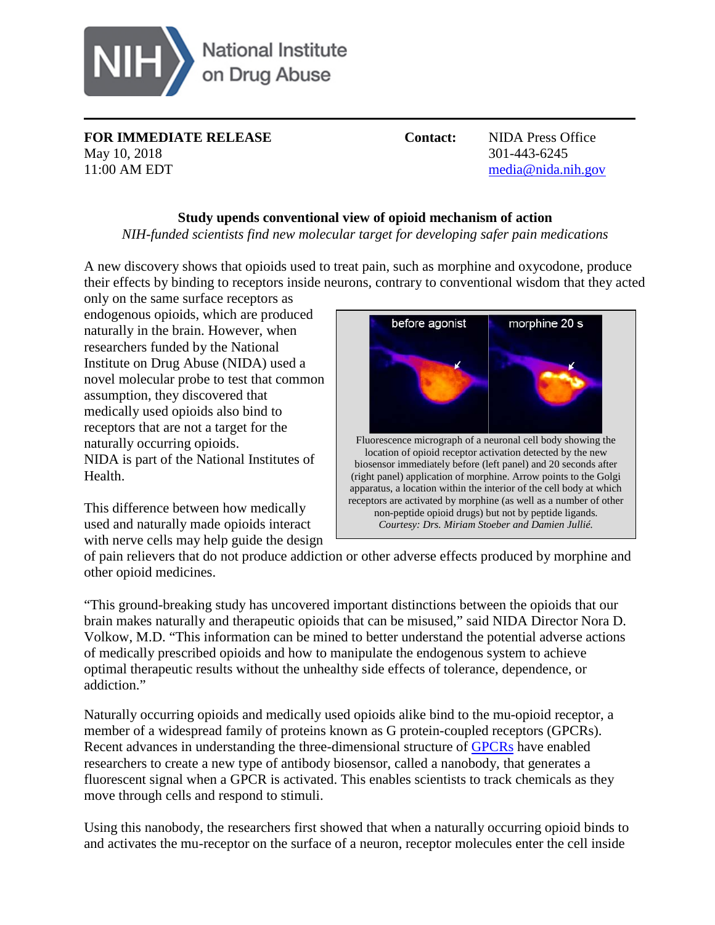

**FOR IMMEDIATE RELEASE Contact:** NIDA Press Office May 10, 2018 301-443-6245 11:00 AM EDT [media@nida.nih.gov](mailto:media@nida.nih.gov)

## **Study upends conventional view of opioid mechanism of action**

*NIH-funded scientists find new molecular target for developing safer pain medications*

A new discovery shows that opioids used to treat pain, such as morphine and oxycodone, produce their effects by binding to receptors inside neurons, contrary to conventional wisdom that they acted

only on the same surface receptors as endogenous opioids, which are produced naturally in the brain. However, when researchers funded by the National Institute on Drug Abuse (NIDA) used a novel molecular probe to test that common assumption, they discovered that medically used opioids also bind to receptors that are not a target for the naturally occurring opioids. NIDA is part of the National Institutes of Health.

This difference between how medically used and naturally made opioids interact with nerve cells may help guide the design



of pain relievers that do not produce addiction or other adverse effects produced by morphine and other opioid medicines.

"This ground-breaking study has uncovered important distinctions between the opioids that our brain makes naturally and therapeutic opioids that can be misused," said NIDA Director Nora D. Volkow, M.D. "This information can be mined to better understand the potential adverse actions of medically prescribed opioids and how to manipulate the endogenous system to achieve optimal therapeutic results without the unhealthy side effects of tolerance, dependence, or addiction."

Naturally occurring opioids and medically used opioids alike bind to the mu-opioid receptor, a member of a widespread family of proteins known as G protein-coupled receptors (GPCRs). Recent advances in understanding the three-dimensional structure of [GPCRs](https://www.drugabuse.gov/news-events/news-releases/2018/03/study-changes-long-held-concepts-cell-decoding) have enabled researchers to create a new type of antibody biosensor, called a nanobody, that generates a fluorescent signal when a GPCR is activated. This enables scientists to track chemicals as they move through cells and respond to stimuli.

Using this nanobody, the researchers first showed that when a naturally occurring opioid binds to and activates the mu-receptor on the surface of a neuron, receptor molecules enter the cell inside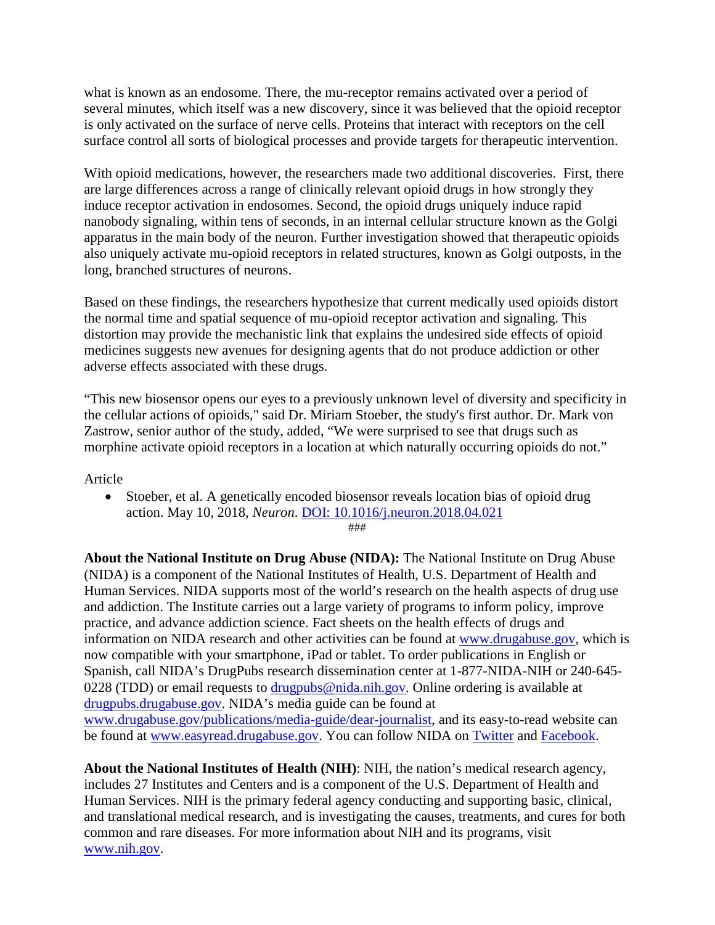what is known as an endosome. There, the mu-receptor remains activated over a period of several minutes, which itself was a new discovery, since it was believed that the opioid receptor is only activated on the surface of nerve cells. Proteins that interact with receptors on the cell surface control all sorts of biological processes and provide targets for therapeutic intervention.

With opioid medications, however, the researchers made two additional discoveries. First, there are large differences across a range of clinically relevant opioid drugs in how strongly they induce receptor activation in endosomes. Second, the opioid drugs uniquely induce rapid nanobody signaling, within tens of seconds, in an internal cellular structure known as the Golgi apparatus in the main body of the neuron. Further investigation showed that therapeutic opioids also uniquely activate mu-opioid receptors in related structures, known as Golgi outposts, in the long, branched structures of neurons.

Based on these findings, the researchers hypothesize that current medically used opioids distort the normal time and spatial sequence of mu-opioid receptor activation and signaling. This distortion may provide the mechanistic link that explains the undesired side effects of opioid medicines suggests new avenues for designing agents that do not produce addiction or other adverse effects associated with these drugs.

"This new biosensor opens our eyes to a previously unknown level of diversity and specificity in the cellular actions of opioids," said Dr. Miriam Stoeber, the study's first author. Dr. Mark von Zastrow, senior author of the study, added, "We were surprised to see that drugs such as morphine activate opioid receptors in a location at which naturally occurring opioids do not."

Article

• Stoeber, et al. A genetically encoded biosensor reveals location bias of opioid drug action. May 10, 2018, *Neuron*. [DOI: 10.1016/j.neuron.2018.04.021](http://www.cell.com/neuron/fulltext/S0896-6273(18)30329-5) ###

**About the National Institute on Drug Abuse (NIDA):** The National Institute on Drug Abuse (NIDA) is a component of the National Institutes of Health, U.S. Department of Health and Human Services. NIDA supports most of the world's research on the health aspects of drug use and addiction. The Institute carries out a large variety of programs to inform policy, improve practice, and advance addiction science. Fact sheets on the health effects of drugs and information on NIDA research and other activities can be found at [www.drugabuse.gov,](https://www.drugabuse.gov/in-english) which is now compatible with your smartphone, iPad or tablet. To order publications in English or Spanish, call NIDA's DrugPubs research dissemination center at 1-877-NIDA-NIH or 240-645- 0228 (TDD) or email requests to  $drugpubs@nida.nih.gov$ . Online ordering is available at [drugpubs.drugabuse.gov.](https://drugpubs.drugabuse.gov/) NIDA's media guide can be found at [www.drugabuse.gov/publications/media-guide/dear-journalist,](https://www.drugabuse.gov/publications/media-guide/dear-journalist) and its easy-to-read website can be found at [www.easyread.drugabuse.gov.](http://www.easyread.drugabuse.gov/) You can follow NIDA on [Twitter](https://twitter.com/NIDAnews) and [Facebook.](https://www.facebook.com/NIDANIH)

**About the National Institutes of Health (NIH)**: NIH, the nation's medical research agency, includes 27 Institutes and Centers and is a component of the U.S. Department of Health and Human Services. NIH is the primary federal agency conducting and supporting basic, clinical, and translational medical research, and is investigating the causes, treatments, and cures for both common and rare diseases. For more information about NIH and its programs, visit [www.nih.gov.](http://www.nih.gov/)